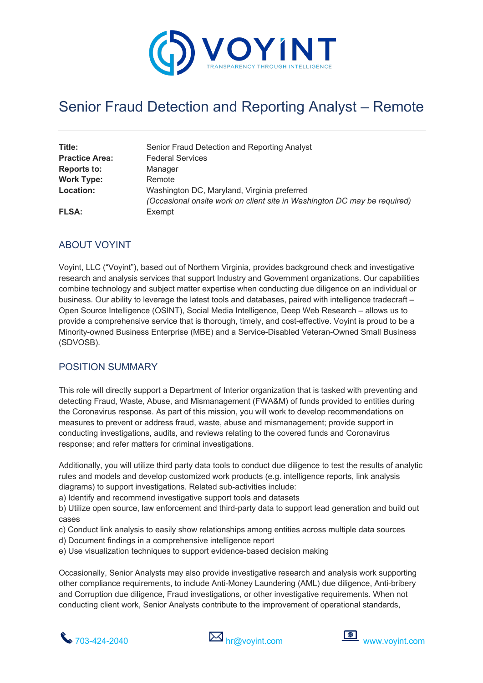

# Senior Fraud Detection and Reporting Analyst – Remote

| Title:<br><b>Practice Area:</b> | Senior Fraud Detection and Reporting Analyst<br><b>Federal Services</b>  |
|---------------------------------|--------------------------------------------------------------------------|
| <b>Reports to:</b>              | Manager                                                                  |
| <b>Work Type:</b>               | Remote                                                                   |
| <b>Location:</b>                | Washington DC, Maryland, Virginia preferred                              |
|                                 | (Occasional onsite work on client site in Washington DC may be required) |
| <b>FLSA:</b>                    | Exempt                                                                   |

### ABOUT VOYINT

Voyint, LLC ("Voyint"), based out of Northern Virginia, provides background check and investigative research and analysis services that support Industry and Government organizations. Our capabilities combine technology and subject matter expertise when conducting due diligence on an individual or business. Our ability to leverage the latest tools and databases, paired with intelligence tradecraft – Open Source Intelligence (OSINT), Social Media Intelligence, Deep Web Research – allows us to provide a comprehensive service that is thorough, timely, and cost-effective. Voyint is proud to be a Minority-owned Business Enterprise (MBE) and a Service-Disabled Veteran-Owned Small Business (SDVOSB).

#### POSITION SUMMARY

This role will directly support a Department of Interior organization that is tasked with preventing and detecting Fraud, Waste, Abuse, and Mismanagement (FWA&M) of funds provided to entities during the Coronavirus response. As part of this mission, you will work to develop recommendations on measures to prevent or address fraud, waste, abuse and mismanagement; provide support in conducting investigations, audits, and reviews relating to the covered funds and Coronavirus response; and refer matters for criminal investigations.

Additionally, you will utilize third party data tools to conduct due diligence to test the results of analytic rules and models and develop customized work products (e.g. intelligence reports, link analysis diagrams) to support investigations. Related sub-activities include:

a) Identify and recommend investigative support tools and datasets

b) Utilize open source, law enforcement and third-party data to support lead generation and build out cases

- c) Conduct link analysis to easily show relationships among entities across multiple data sources
- d) Document findings in a comprehensive intelligence report
- e) Use visualization techniques to support evidence-based decision making

Occasionally, Senior Analysts may also provide investigative research and analysis work supporting other compliance requirements, to include Anti-Money Laundering (AML) due diligence, Anti-bribery and Corruption due diligence, Fraud investigations, or other investigative requirements. When not conducting client work, Senior Analysts contribute to the improvement of operational standards,